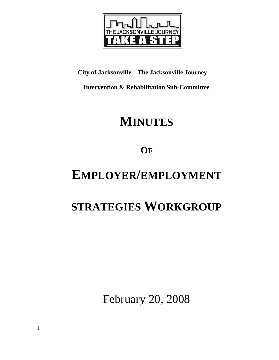

**City of Jacksonville – The Jacksonville Journey** 

**Intervention & Rehabilitation Sub-Committee** 

# **MINUTES**

**OF**

# **EMPLOYER/EMPLOYMENT**

## **STRATEGIES WORKGROUP**

February 20, 2008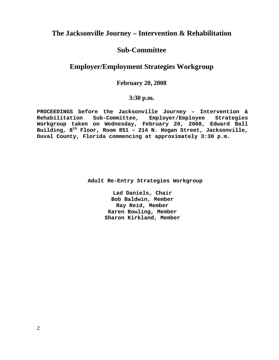## **The Jacksonville Journey – Intervention & Rehabilitation**

## **Sub-Committee**

## **Employer/Employment Strategies Workgroup**

### **February 20, 2008**

### **3:30 p.m.**

**PROCEEDINGS before the Jacksonville Journey – Intervention & Rehabilitation Sub-Committee, Employer/Employee Strategies Workgroup taken on Wednesday, February 20, 2008, Edward Ball Building, 8th Floor, Room 851 – 214 N. Hogan Street, Jacksonville, Duval County, Florida commencing at approximately 3:30 p.m.** 

 **Adult Re-Entry Strategies Workgroup** 

**Lad Daniels, Chair Bob Baldwin, Member Ray Reid, Member Karen Bowling, Member Sharon Kirkland, Member**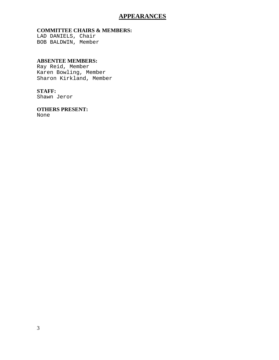### **APPEARANCES**

#### **COMMITTEE CHAIRS & MEMBERS:**

LAD DANIELS, Chair BOB BALDWIN, Member

#### **ABSENTEE MEMBERS:**

Ray Reid, Member Karen Bowling, Member Sharon Kirkland, Member

#### **STAFF:**

Shawn Jeror

## **OTHERS PRESENT:**

None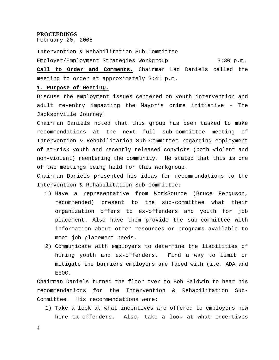#### **PROCEEDINGS**

February 20, 2008

Intervention & Rehabilitation Sub-Committee Employer/Employment Strategies Workgroup 3:30 p.m.

**Call to Order and Comments.** Chairman Lad Daniels called the meeting to order at approximately 3:41 p.m.

#### **1. Purpose of Meeting.**

Discuss the employment issues centered on youth intervention and adult re-entry impacting the Mayor's crime initiative – The Jacksonville Journey.

Chairman Daniels noted that this group has been tasked to make recommendations at the next full sub-committee meeting of Intervention & Rehabilitation Sub-Committee regarding employment of at-risk youth and recently released convicts (both violent and non-violent) reentering the community. He stated that this is one of two meetings being held for this workgroup.

Chairman Daniels presented his ideas for recommendations to the Intervention & Rehabilitation Sub-Committee:

- 1) Have a representative from WorkSource (Bruce Ferguson, recommended) present to the sub-committee what their organization offers to ex-offenders and youth for job placement. Also have them provide the sub-committee with information about other resources or programs available to meet job placement needs.
- 2) Communicate with employers to determine the liabilities of hiring youth and ex-offenders. Find a way to limit or mitigate the barriers employers are faced with (i.e. ADA and EEOC.

Chairman Daniels turned the floor over to Bob Baldwin to hear his recommendations for the Intervention & Rehabilitation Sub-Committee. His recommendations were:

1) Take a look at what incentives are offered to employers how hire ex-offenders. Also, take a look at what incentives

4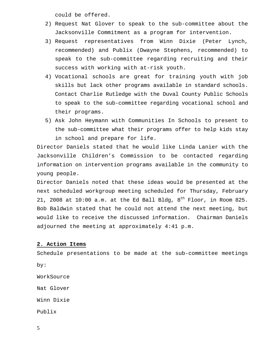could be offered.

- 2) Request Nat Glover to speak to the sub-committee about the Jacksonville Commitment as a program for intervention.
- 3) Request representatives from Winn Dixie (Peter Lynch, recommended) and Publix (Dwayne Stephens, recommended) to speak to the sub-committee regarding recruiting and their success with working with at-risk youth.
- 4) Vocational schools are great for training youth with job skills but lack other programs available in standard schools. Contact Charlie Rutledge with the Duval County Public Schools to speak to the sub-committee regarding vocational school and their programs.
- 5) Ask John Heymann with Communities In Schools to present to the sub-committee what their programs offer to help kids stay in school and prepare for life.

Director Daniels stated that he would like Linda Lanier with the Jacksonville Children's Commission to be contacted regarding information on intervention programs available in the community to young people.

Director Daniels noted that these ideas would be presented at the next scheduled workgroup meeting scheduled for Thursday, February 21, 2008 at  $10:00$  a.m. at the Ed Ball Bldg,  $8<sup>th</sup>$  Floor, in Room 825. Bob Baldwin stated that he could not attend the next meeting, but would like to receive the discussed information. Chairman Daniels adjourned the meeting at approximately 4:41 p.m.

#### **2. Action Items**

Schedule presentations to be made at the sub-committee meetings by: WorkSource Nat Glover

Winn Dixie

Publix

5